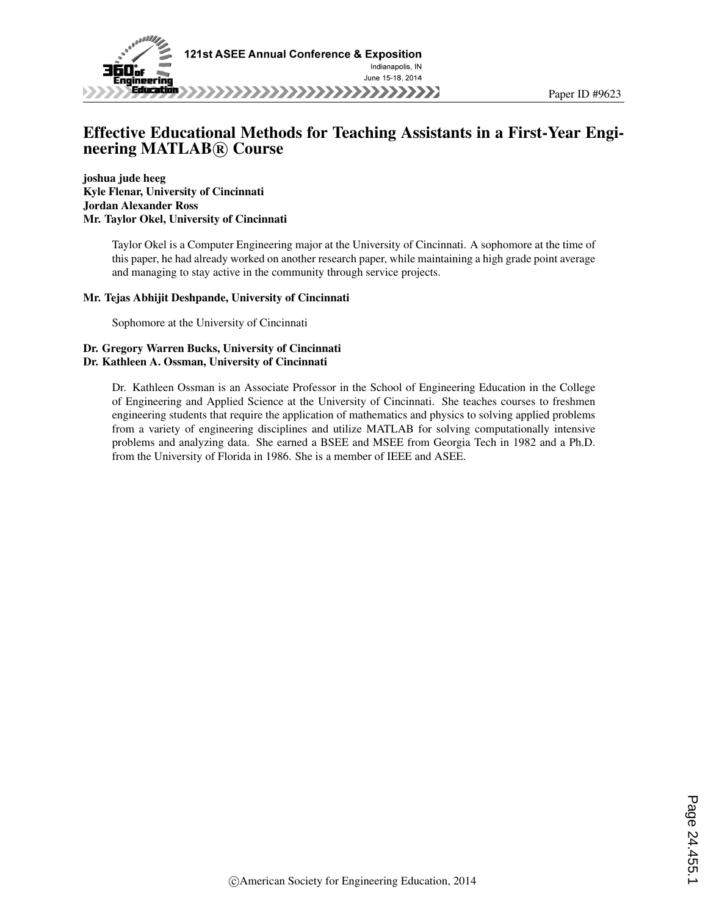

# Effective Educational Methods for Teaching Assistants in a First-Year Engineering MATLAB<sup>(R)</sup> Course

joshua jude heeg Kyle Flenar, University of Cincinnati Jordan Alexander Ross Mr. Taylor Okel, University of Cincinnati

> Taylor Okel is a Computer Engineering major at the University of Cincinnati. A sophomore at the time of this paper, he had already worked on another research paper, while maintaining a high grade point average and managing to stay active in the community through service projects.

#### Mr. Tejas Abhijit Deshpande, University of Cincinnati

Sophomore at the University of Cincinnati

#### Dr. Gregory Warren Bucks, University of Cincinnati Dr. Kathleen A. Ossman, University of Cincinnati

Dr. Kathleen Ossman is an Associate Professor in the School of Engineering Education in the College of Engineering and Applied Science at the University of Cincinnati. She teaches courses to freshmen engineering students that require the application of mathematics and physics to solving applied problems from a variety of engineering disciplines and utilize MATLAB for solving computationally intensive problems and analyzing data. She earned a BSEE and MSEE from Georgia Tech in 1982 and a Ph.D. from the University of Florida in 1986. She is a member of IEEE and ASEE.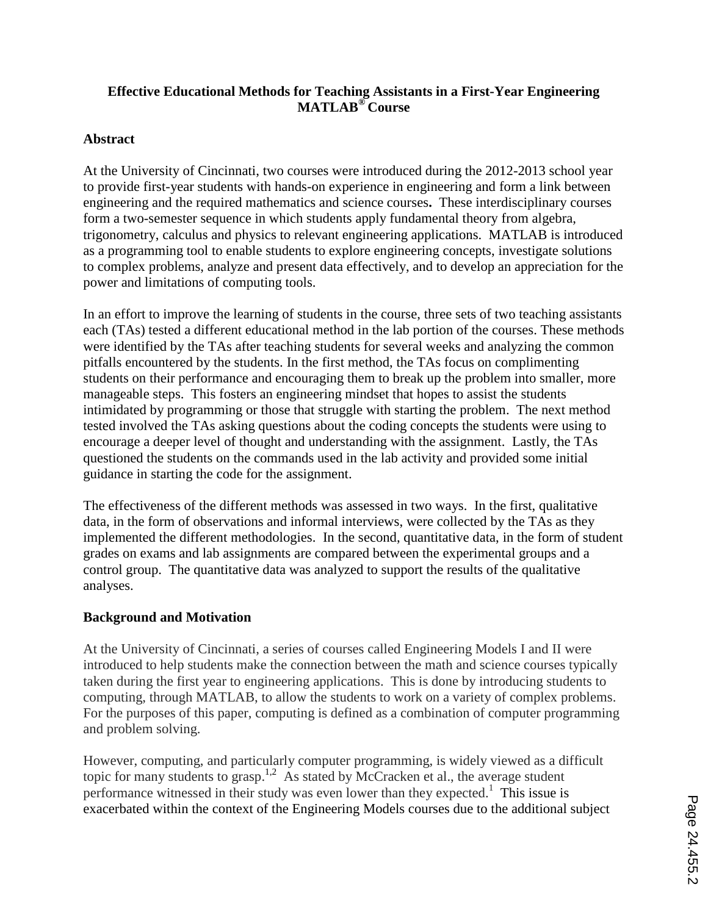# **Effective Educational Methods for Teaching Assistants in a First-Year Engineering MATLAB® Course**

# **Abstract**

At the University of Cincinnati, two courses were introduced during the 2012-2013 school year to provide first-year students with hands-on experience in engineering and form a link between engineering and the required mathematics and science courses**.** These interdisciplinary courses form a two-semester sequence in which students apply fundamental theory from algebra, trigonometry, calculus and physics to relevant engineering applications. MATLAB is introduced as a programming tool to enable students to explore engineering concepts, investigate solutions to complex problems, analyze and present data effectively, and to develop an appreciation for the power and limitations of computing tools.

In an effort to improve the learning of students in the course, three sets of two teaching assistants each (TAs) tested a different educational method in the lab portion of the courses. These methods were identified by the TAs after teaching students for several weeks and analyzing the common pitfalls encountered by the students. In the first method, the TAs focus on complimenting students on their performance and encouraging them to break up the problem into smaller, more manageable steps. This fosters an engineering mindset that hopes to assist the students intimidated by programming or those that struggle with starting the problem. The next method tested involved the TAs asking questions about the coding concepts the students were using to encourage a deeper level of thought and understanding with the assignment. Lastly, the TAs questioned the students on the commands used in the lab activity and provided some initial guidance in starting the code for the assignment.

The effectiveness of the different methods was assessed in two ways. In the first, qualitative data, in the form of observations and informal interviews, were collected by the TAs as they implemented the different methodologies. In the second, quantitative data, in the form of student grades on exams and lab assignments are compared between the experimental groups and a control group. The quantitative data was analyzed to support the results of the qualitative analyses.

# **Background and Motivation**

At the University of Cincinnati, a series of courses called Engineering Models I and II were introduced to help students make the connection between the math and science courses typically taken during the first year to engineering applications. This is done by introducing students to computing, through MATLAB, to allow the students to work on a variety of complex problems. For the purposes of this paper, computing is defined as a combination of computer programming and problem solving.

However, computing, and particularly computer programming, is widely viewed as a difficult topic for many students to grasp.<sup>1,2</sup> As stated by McCracken et al., the average student performance witnessed in their study was even lower than they expected.<sup>1</sup> This issue is exacerbated within the context of the Engineering Models courses due to the additional subject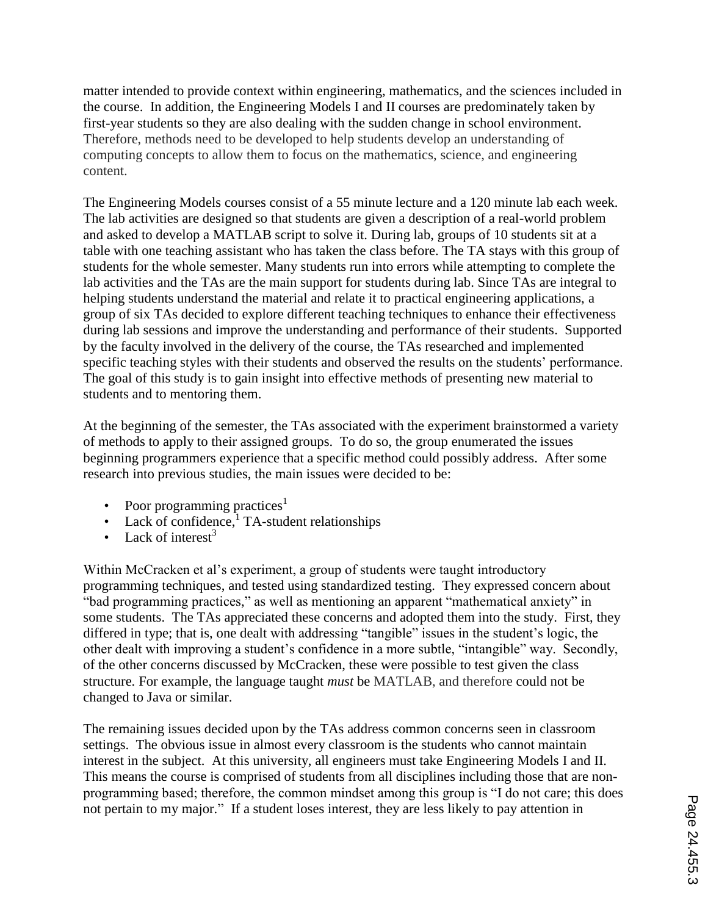matter intended to provide context within engineering, mathematics, and the sciences included in the course. In addition, the Engineering Models I and II courses are predominately taken by first-year students so they are also dealing with the sudden change in school environment. Therefore, methods need to be developed to help students develop an understanding of computing concepts to allow them to focus on the mathematics, science, and engineering content.

The Engineering Models courses consist of a 55 minute lecture and a 120 minute lab each week. The lab activities are designed so that students are given a description of a real-world problem and asked to develop a MATLAB script to solve it. During lab, groups of 10 students sit at a table with one teaching assistant who has taken the class before. The TA stays with this group of students for the whole semester. Many students run into errors while attempting to complete the lab activities and the TAs are the main support for students during lab. Since TAs are integral to helping students understand the material and relate it to practical engineering applications, a group of six TAs decided to explore different teaching techniques to enhance their effectiveness during lab sessions and improve the understanding and performance of their students. Supported by the faculty involved in the delivery of the course, the TAs researched and implemented specific teaching styles with their students and observed the results on the students' performance. The goal of this study is to gain insight into effective methods of presenting new material to students and to mentoring them.

At the beginning of the semester, the TAs associated with the experiment brainstormed a variety of methods to apply to their assigned groups. To do so, the group enumerated the issues beginning programmers experience that a specific method could possibly address. After some research into previous studies, the main issues were decided to be:

- Poor programming practices<sup>1</sup>
- Lack of confidence,  $\overline{I}$  TA-student relationships
- Lack of interest<sup>3</sup>

Within McCracken et al's experiment, a group of students were taught introductory programming techniques, and tested using standardized testing. They expressed concern about "bad programming practices," as well as mentioning an apparent "mathematical anxiety" in some students. The TAs appreciated these concerns and adopted them into the study. First, they differed in type; that is, one dealt with addressing "tangible" issues in the student's logic, the other dealt with improving a student's confidence in a more subtle, "intangible" way. Secondly, of the other concerns discussed by McCracken, these were possible to test given the class structure. For example, the language taught *must* be MATLAB, and therefore could not be changed to Java or similar.

The remaining issues decided upon by the TAs address common concerns seen in classroom settings. The obvious issue in almost every classroom is the students who cannot maintain interest in the subject. At this university, all engineers must take Engineering Models I and II. This means the course is comprised of students from all disciplines including those that are nonprogramming based; therefore, the common mindset among this group is "I do not care; this does not pertain to my major." If a student loses interest, they are less likely to pay attention in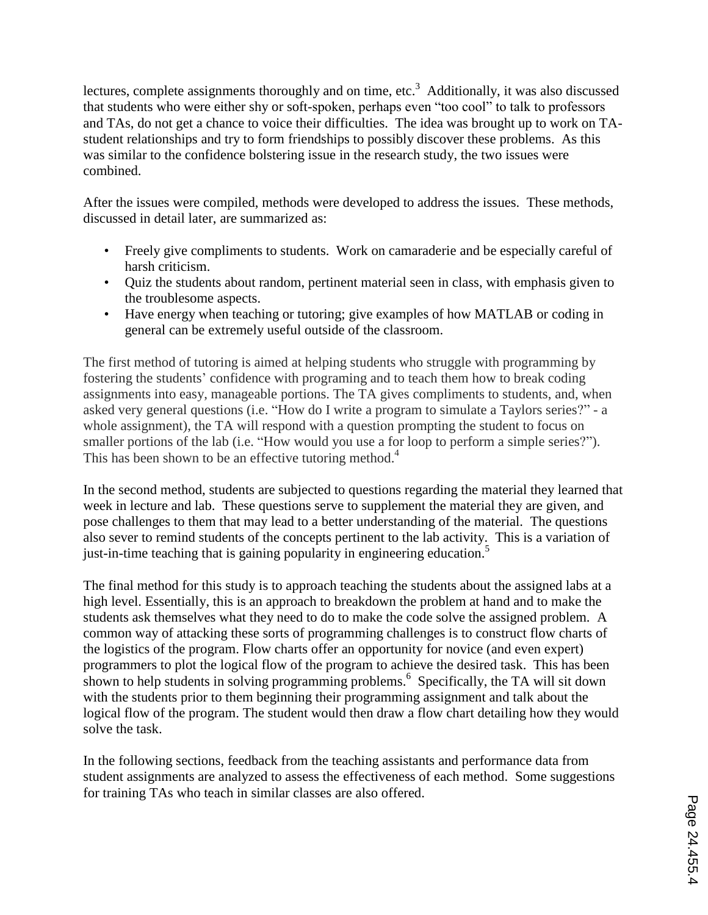lectures, complete assignments thoroughly and on time, etc.<sup>3</sup> Additionally, it was also discussed that students who were either shy or soft-spoken, perhaps even "too cool" to talk to professors and TAs, do not get a chance to voice their difficulties. The idea was brought up to work on TAstudent relationships and try to form friendships to possibly discover these problems. As this was similar to the confidence bolstering issue in the research study, the two issues were combined.

After the issues were compiled, methods were developed to address the issues. These methods, discussed in detail later, are summarized as:

- Freely give compliments to students. Work on camaraderie and be especially careful of harsh criticism.
- Quiz the students about random, pertinent material seen in class, with emphasis given to the troublesome aspects.
- Have energy when teaching or tutoring; give examples of how MATLAB or coding in general can be extremely useful outside of the classroom.

The first method of tutoring is aimed at helping students who struggle with programming by fostering the students' confidence with programing and to teach them how to break coding assignments into easy, manageable portions. The TA gives compliments to students, and, when asked very general questions (i.e. "How do I write a program to simulate a Taylors series?" - a whole assignment), the TA will respond with a question prompting the student to focus on smaller portions of the lab (i.e. "How would you use a for loop to perform a simple series?"). This has been shown to be an effective tutoring method.<sup>4</sup>

In the second method, students are subjected to questions regarding the material they learned that week in lecture and lab. These questions serve to supplement the material they are given, and pose challenges to them that may lead to a better understanding of the material. The questions also sever to remind students of the concepts pertinent to the lab activity. This is a variation of just-in-time teaching that is gaining popularity in engineering education.<sup>5</sup>

The final method for this study is to approach teaching the students about the assigned labs at a high level. Essentially, this is an approach to breakdown the problem at hand and to make the students ask themselves what they need to do to make the code solve the assigned problem. A common way of attacking these sorts of programming challenges is to construct flow charts of the logistics of the program. Flow charts offer an opportunity for novice (and even expert) programmers to plot the logical flow of the program to achieve the desired task. This has been shown to help students in solving programming problems. 6 Specifically, the TA will sit down with the students prior to them beginning their programming assignment and talk about the logical flow of the program. The student would then draw a flow chart detailing how they would solve the task.

In the following sections, feedback from the teaching assistants and performance data from student assignments are analyzed to assess the effectiveness of each method. Some suggestions for training TAs who teach in similar classes are also offered.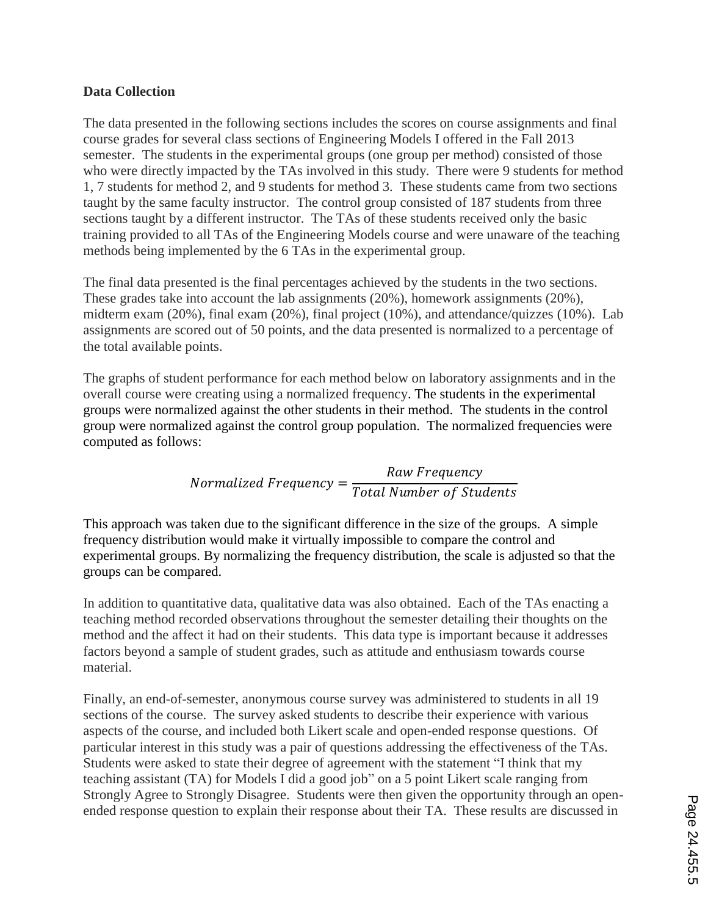### **Data Collection**

The data presented in the following sections includes the scores on course assignments and final course grades for several class sections of Engineering Models I offered in the Fall 2013 semester. The students in the experimental groups (one group per method) consisted of those who were directly impacted by the TAs involved in this study. There were 9 students for method 1, 7 students for method 2, and 9 students for method 3. These students came from two sections taught by the same faculty instructor. The control group consisted of 187 students from three sections taught by a different instructor. The TAs of these students received only the basic training provided to all TAs of the Engineering Models course and were unaware of the teaching methods being implemented by the 6 TAs in the experimental group.

The final data presented is the final percentages achieved by the students in the two sections. These grades take into account the lab assignments (20%), homework assignments (20%), midterm exam (20%), final exam (20%), final project (10%), and attendance/quizzes (10%). Lab assignments are scored out of 50 points, and the data presented is normalized to a percentage of the total available points.

The graphs of student performance for each method below on laboratory assignments and in the overall course were creating using a normalized frequency. The students in the experimental groups were normalized against the other students in their method. The students in the control group were normalized against the control group population. The normalized frequencies were computed as follows:

> $\boldsymbol{N}$  $\overline{R}$  $\overline{T}$

This approach was taken due to the significant difference in the size of the groups. A simple frequency distribution would make it virtually impossible to compare the control and experimental groups. By normalizing the frequency distribution, the scale is adjusted so that the groups can be compared.

In addition to quantitative data, qualitative data was also obtained. Each of the TAs enacting a teaching method recorded observations throughout the semester detailing their thoughts on the method and the affect it had on their students. This data type is important because it addresses factors beyond a sample of student grades, such as attitude and enthusiasm towards course material.

Finally, an end-of-semester, anonymous course survey was administered to students in all 19 sections of the course. The survey asked students to describe their experience with various aspects of the course, and included both Likert scale and open-ended response questions. Of particular interest in this study was a pair of questions addressing the effectiveness of the TAs. Students were asked to state their degree of agreement with the statement "I think that my teaching assistant (TA) for Models I did a good job" on a 5 point Likert scale ranging from Strongly Agree to Strongly Disagree. Students were then given the opportunity through an openended response question to explain their response about their TA. These results are discussed in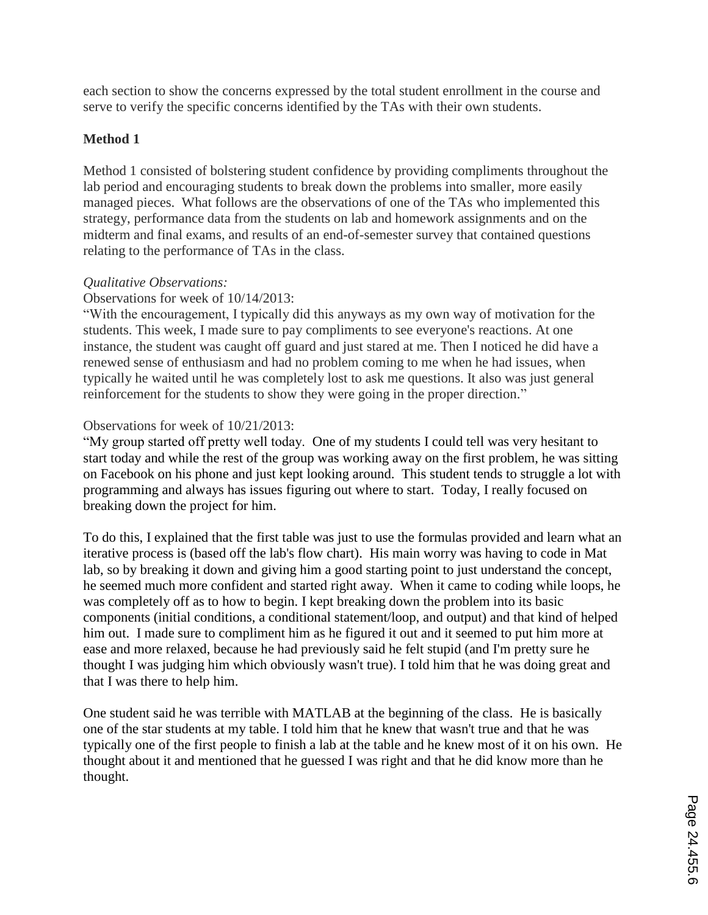each section to show the concerns expressed by the total student enrollment in the course and serve to verify the specific concerns identified by the TAs with their own students.

# **Method 1**

Method 1 consisted of bolstering student confidence by providing compliments throughout the lab period and encouraging students to break down the problems into smaller, more easily managed pieces. What follows are the observations of one of the TAs who implemented this strategy, performance data from the students on lab and homework assignments and on the midterm and final exams, and results of an end-of-semester survey that contained questions relating to the performance of TAs in the class.

# *Qualitative Observations:*

### Observations for week of 10/14/2013:

"With the encouragement, I typically did this anyways as my own way of motivation for the students. This week, I made sure to pay compliments to see everyone's reactions. At one instance, the student was caught off guard and just stared at me. Then I noticed he did have a renewed sense of enthusiasm and had no problem coming to me when he had issues, when typically he waited until he was completely lost to ask me questions. It also was just general reinforcement for the students to show they were going in the proper direction."

### Observations for week of 10/21/2013:

"My group started off pretty well today. One of my students I could tell was very hesitant to start today and while the rest of the group was working away on the first problem, he was sitting on Facebook on his phone and just kept looking around. This student tends to struggle a lot with programming and always has issues figuring out where to start. Today, I really focused on breaking down the project for him.

To do this, I explained that the first table was just to use the formulas provided and learn what an iterative process is (based off the lab's flow chart). His main worry was having to code in Mat lab, so by breaking it down and giving him a good starting point to just understand the concept, he seemed much more confident and started right away. When it came to coding while loops, he was completely off as to how to begin. I kept breaking down the problem into its basic components (initial conditions, a conditional statement/loop, and output) and that kind of helped him out. I made sure to compliment him as he figured it out and it seemed to put him more at ease and more relaxed, because he had previously said he felt stupid (and I'm pretty sure he thought I was judging him which obviously wasn't true). I told him that he was doing great and that I was there to help him.

One student said he was terrible with MATLAB at the beginning of the class. He is basically one of the star students at my table. I told him that he knew that wasn't true and that he was typically one of the first people to finish a lab at the table and he knew most of it on his own. He thought about it and mentioned that he guessed I was right and that he did know more than he thought.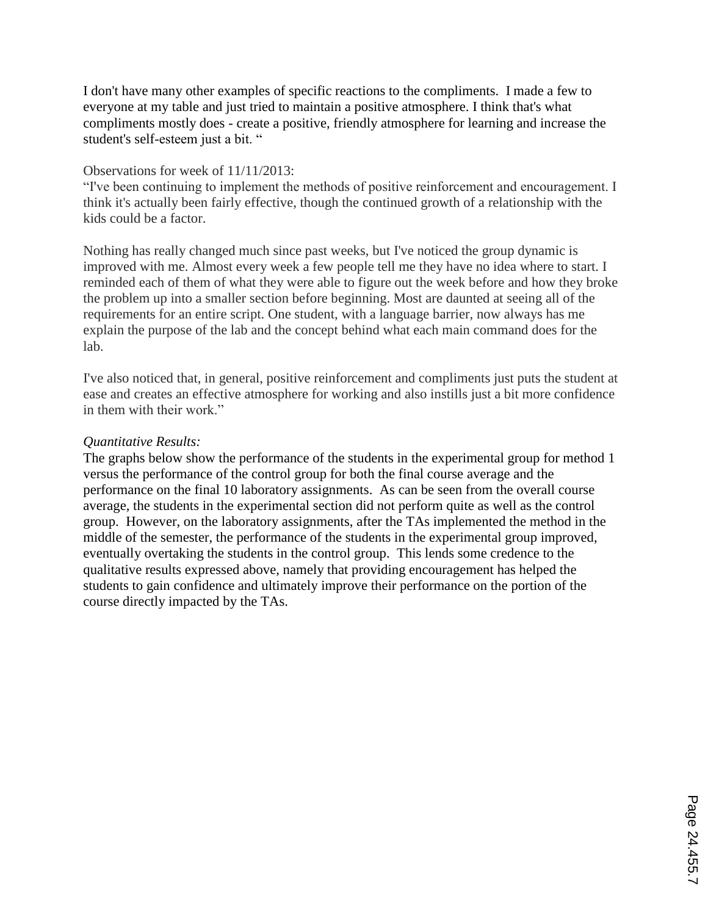I don't have many other examples of specific reactions to the compliments. I made a few to everyone at my table and just tried to maintain a positive atmosphere. I think that's what compliments mostly does - create a positive, friendly atmosphere for learning and increase the student's self-esteem just a bit. "

### Observations for week of 11/11/2013:

"I've been continuing to implement the methods of positive reinforcement and encouragement. I think it's actually been fairly effective, though the continued growth of a relationship with the kids could be a factor.

Nothing has really changed much since past weeks, but I've noticed the group dynamic is improved with me. Almost every week a few people tell me they have no idea where to start. I reminded each of them of what they were able to figure out the week before and how they broke the problem up into a smaller section before beginning. Most are daunted at seeing all of the requirements for an entire script. One student, with a language barrier, now always has me explain the purpose of the lab and the concept behind what each main command does for the lab.

I've also noticed that, in general, positive reinforcement and compliments just puts the student at ease and creates an effective atmosphere for working and also instills just a bit more confidence in them with their work."

### *Quantitative Results:*

The graphs below show the performance of the students in the experimental group for method 1 versus the performance of the control group for both the final course average and the performance on the final 10 laboratory assignments. As can be seen from the overall course average, the students in the experimental section did not perform quite as well as the control group. However, on the laboratory assignments, after the TAs implemented the method in the middle of the semester, the performance of the students in the experimental group improved, eventually overtaking the students in the control group. This lends some credence to the qualitative results expressed above, namely that providing encouragement has helped the students to gain confidence and ultimately improve their performance on the portion of the course directly impacted by the TAs.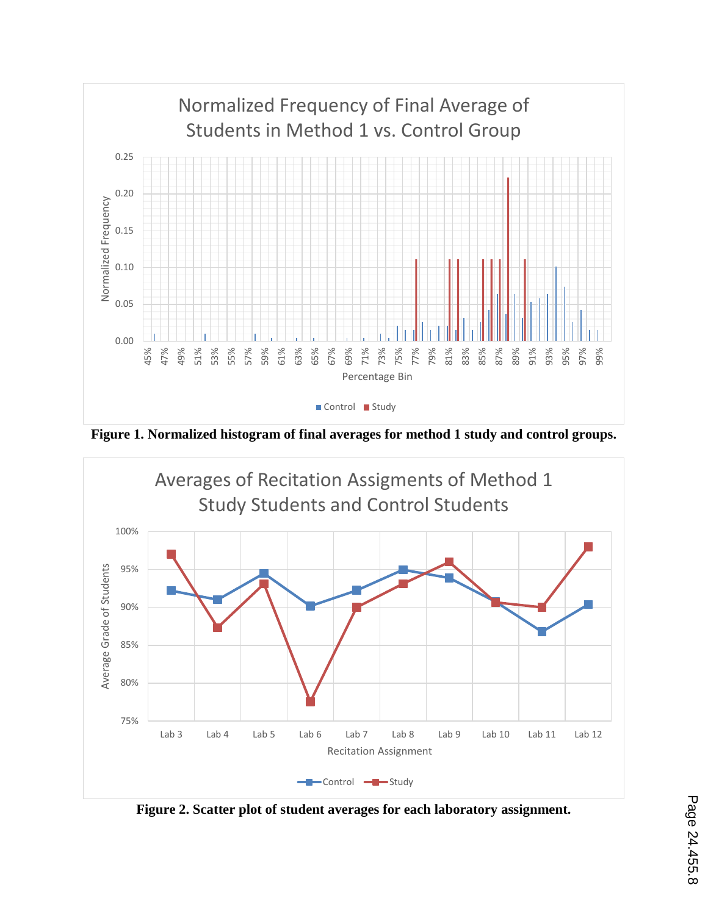

**Figure 1. Normalized histogram of final averages for method 1 study and control groups.**



**Figure 2. Scatter plot of student averages for each laboratory assignment.**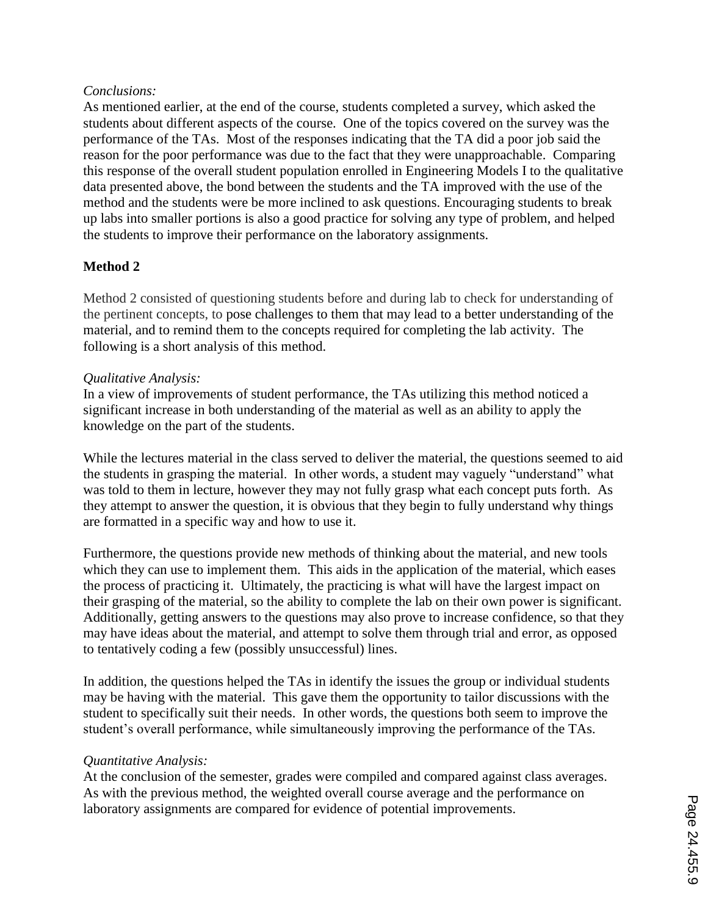### *Conclusions:*

As mentioned earlier, at the end of the course, students completed a survey, which asked the students about different aspects of the course. One of the topics covered on the survey was the performance of the TAs. Most of the responses indicating that the TA did a poor job said the reason for the poor performance was due to the fact that they were unapproachable. Comparing this response of the overall student population enrolled in Engineering Models I to the qualitative data presented above, the bond between the students and the TA improved with the use of the method and the students were be more inclined to ask questions. Encouraging students to break up labs into smaller portions is also a good practice for solving any type of problem, and helped the students to improve their performance on the laboratory assignments.

# **Method 2**

Method 2 consisted of questioning students before and during lab to check for understanding of the pertinent concepts, to pose challenges to them that may lead to a better understanding of the material, and to remind them to the concepts required for completing the lab activity. The following is a short analysis of this method.

### *Qualitative Analysis:*

In a view of improvements of student performance, the TAs utilizing this method noticed a significant increase in both understanding of the material as well as an ability to apply the knowledge on the part of the students.

While the lectures material in the class served to deliver the material, the questions seemed to aid the students in grasping the material. In other words, a student may vaguely "understand" what was told to them in lecture, however they may not fully grasp what each concept puts forth. As they attempt to answer the question, it is obvious that they begin to fully understand why things are formatted in a specific way and how to use it.

Furthermore, the questions provide new methods of thinking about the material, and new tools which they can use to implement them. This aids in the application of the material, which eases the process of practicing it. Ultimately, the practicing is what will have the largest impact on their grasping of the material, so the ability to complete the lab on their own power is significant. Additionally, getting answers to the questions may also prove to increase confidence, so that they may have ideas about the material, and attempt to solve them through trial and error, as opposed to tentatively coding a few (possibly unsuccessful) lines.

In addition, the questions helped the TAs in identify the issues the group or individual students may be having with the material. This gave them the opportunity to tailor discussions with the student to specifically suit their needs. In other words, the questions both seem to improve the student's overall performance, while simultaneously improving the performance of the TAs.

### *Quantitative Analysis:*

At the conclusion of the semester, grades were compiled and compared against class averages. As with the previous method, the weighted overall course average and the performance on laboratory assignments are compared for evidence of potential improvements.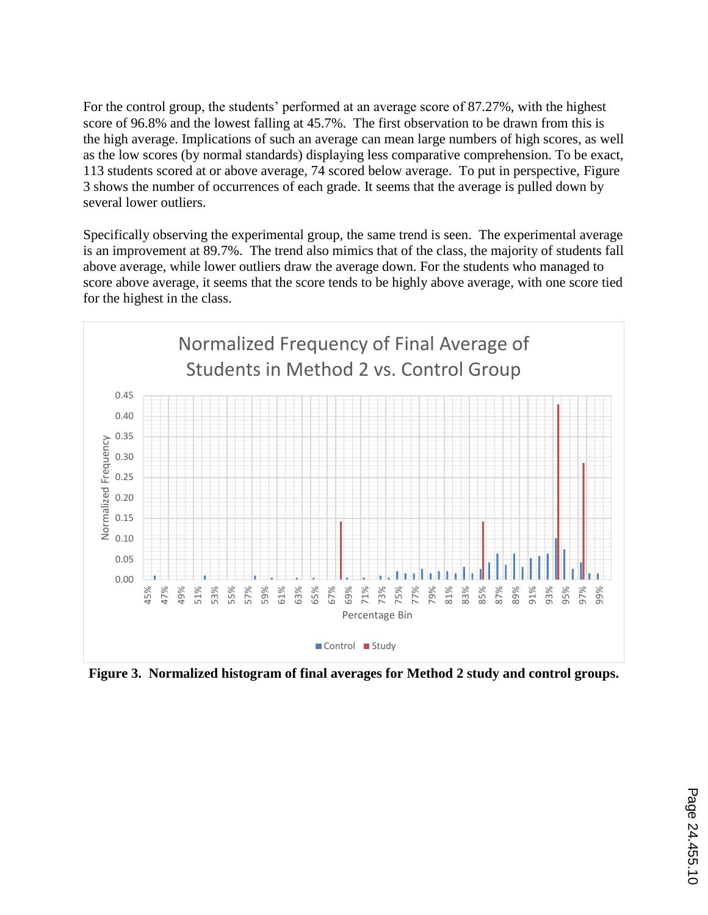For the control group, the students' performed at an average score of 87.27%, with the highest score of 96.8% and the lowest falling at 45.7%. The first observation to be drawn from this is the high average. Implications of such an average can mean large numbers of high scores, as well as the low scores (by normal standards) displaying less comparative comprehension. To be exact, 113 students scored at or above average, 74 scored below average. To put in perspective, Figure 3 shows the number of occurrences of each grade. It seems that the average is pulled down by several lower outliers.

Specifically observing the experimental group, the same trend is seen. The experimental average is an improvement at 89.7%. The trend also mimics that of the class, the majority of students fall above average, while lower outliers draw the average down. For the students who managed to score above average, it seems that the score tends to be highly above average, with one score tied for the highest in the class.



**Figure 3. Normalized histogram of final averages for Method 2 study and control groups.**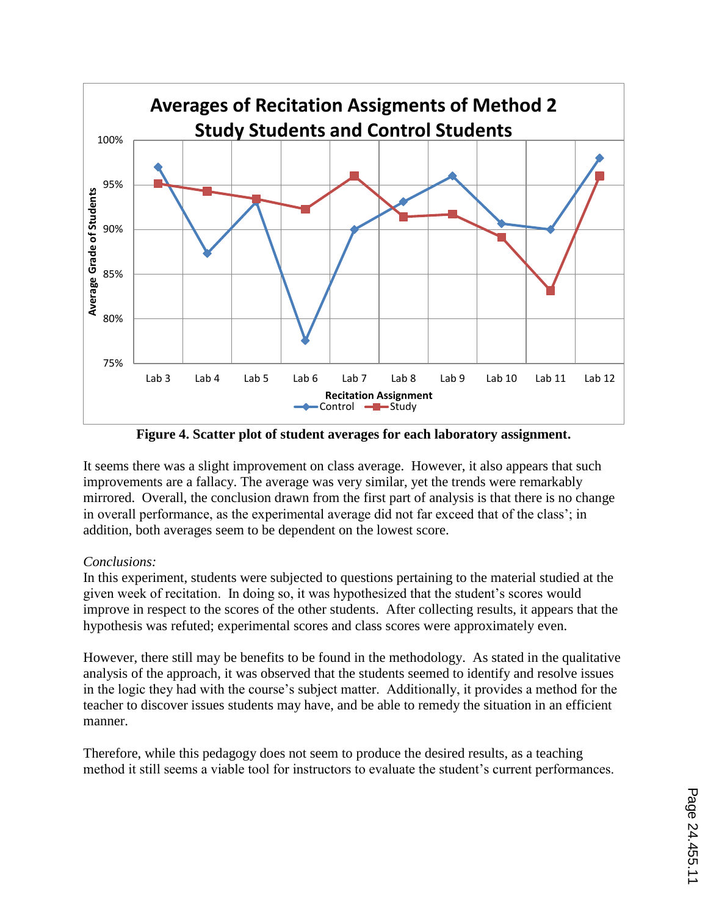

**Figure 4. Scatter plot of student averages for each laboratory assignment.**

It seems there was a slight improvement on class average. However, it also appears that such improvements are a fallacy. The average was very similar, yet the trends were remarkably mirrored. Overall, the conclusion drawn from the first part of analysis is that there is no change in overall performance, as the experimental average did not far exceed that of the class'; in addition, both averages seem to be dependent on the lowest score.

### *Conclusions:*

In this experiment, students were subjected to questions pertaining to the material studied at the given week of recitation. In doing so, it was hypothesized that the student's scores would improve in respect to the scores of the other students. After collecting results, it appears that the hypothesis was refuted; experimental scores and class scores were approximately even.

However, there still may be benefits to be found in the methodology. As stated in the qualitative analysis of the approach, it was observed that the students seemed to identify and resolve issues in the logic they had with the course's subject matter. Additionally, it provides a method for the teacher to discover issues students may have, and be able to remedy the situation in an efficient manner.

Therefore, while this pedagogy does not seem to produce the desired results, as a teaching method it still seems a viable tool for instructors to evaluate the student's current performances.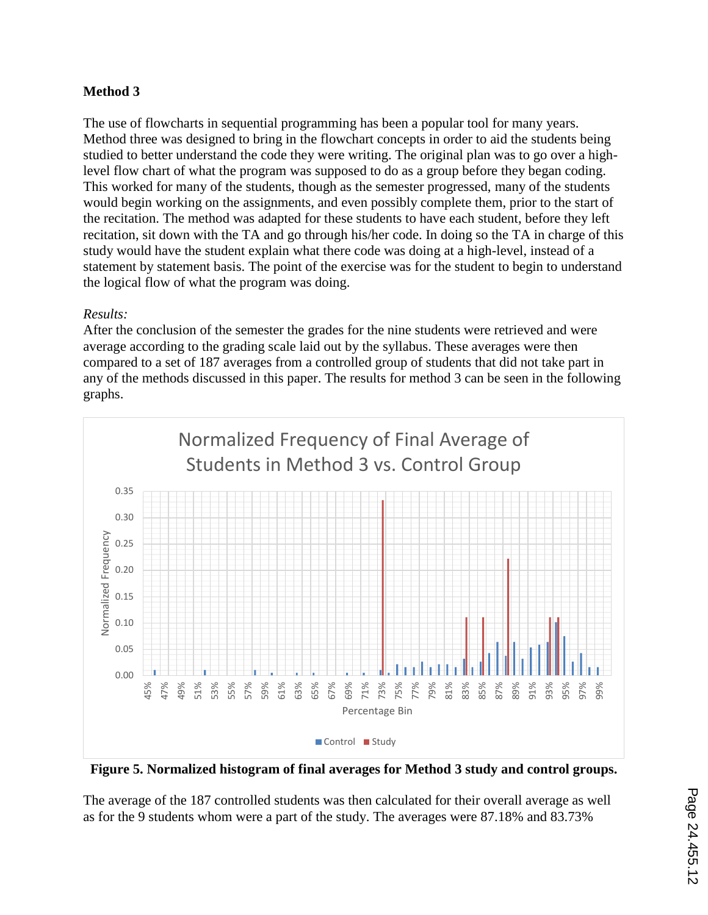# **Method 3**

The use of flowcharts in sequential programming has been a popular tool for many years. Method three was designed to bring in the flowchart concepts in order to aid the students being studied to better understand the code they were writing. The original plan was to go over a highlevel flow chart of what the program was supposed to do as a group before they began coding. This worked for many of the students, though as the semester progressed, many of the students would begin working on the assignments, and even possibly complete them, prior to the start of the recitation. The method was adapted for these students to have each student, before they left recitation, sit down with the TA and go through his/her code. In doing so the TA in charge of this study would have the student explain what there code was doing at a high-level, instead of a statement by statement basis. The point of the exercise was for the student to begin to understand the logical flow of what the program was doing.

# *Results:*

After the conclusion of the semester the grades for the nine students were retrieved and were average according to the grading scale laid out by the syllabus. These averages were then compared to a set of 187 averages from a controlled group of students that did not take part in any of the methods discussed in this paper. The results for method 3 can be seen in the following graphs.



**Figure 5. Normalized histogram of final averages for Method 3 study and control groups.**

The average of the 187 controlled students was then calculated for their overall average as well as for the 9 students whom were a part of the study. The averages were 87.18% and 83.73%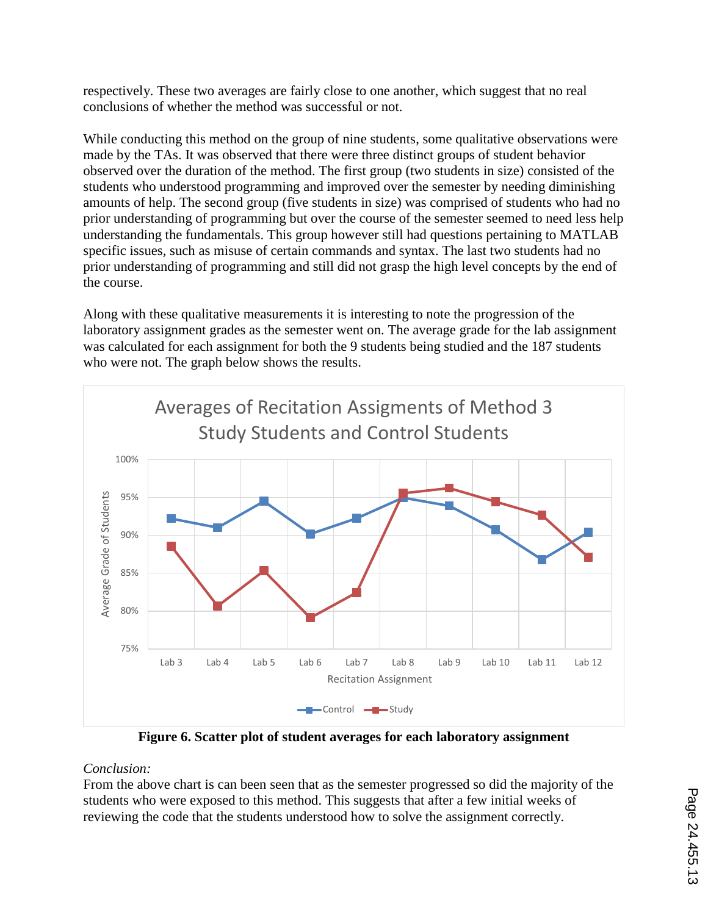respectively. These two averages are fairly close to one another, which suggest that no real conclusions of whether the method was successful or not.

While conducting this method on the group of nine students, some qualitative observations were made by the TAs. It was observed that there were three distinct groups of student behavior observed over the duration of the method. The first group (two students in size) consisted of the students who understood programming and improved over the semester by needing diminishing amounts of help. The second group (five students in size) was comprised of students who had no prior understanding of programming but over the course of the semester seemed to need less help understanding the fundamentals. This group however still had questions pertaining to MATLAB specific issues, such as misuse of certain commands and syntax. The last two students had no prior understanding of programming and still did not grasp the high level concepts by the end of the course.

Along with these qualitative measurements it is interesting to note the progression of the laboratory assignment grades as the semester went on. The average grade for the lab assignment was calculated for each assignment for both the 9 students being studied and the 187 students who were not. The graph below shows the results.



**Figure 6. Scatter plot of student averages for each laboratory assignment**

# *Conclusion:*

From the above chart is can been seen that as the semester progressed so did the majority of the students who were exposed to this method. This suggests that after a few initial weeks of reviewing the code that the students understood how to solve the assignment correctly.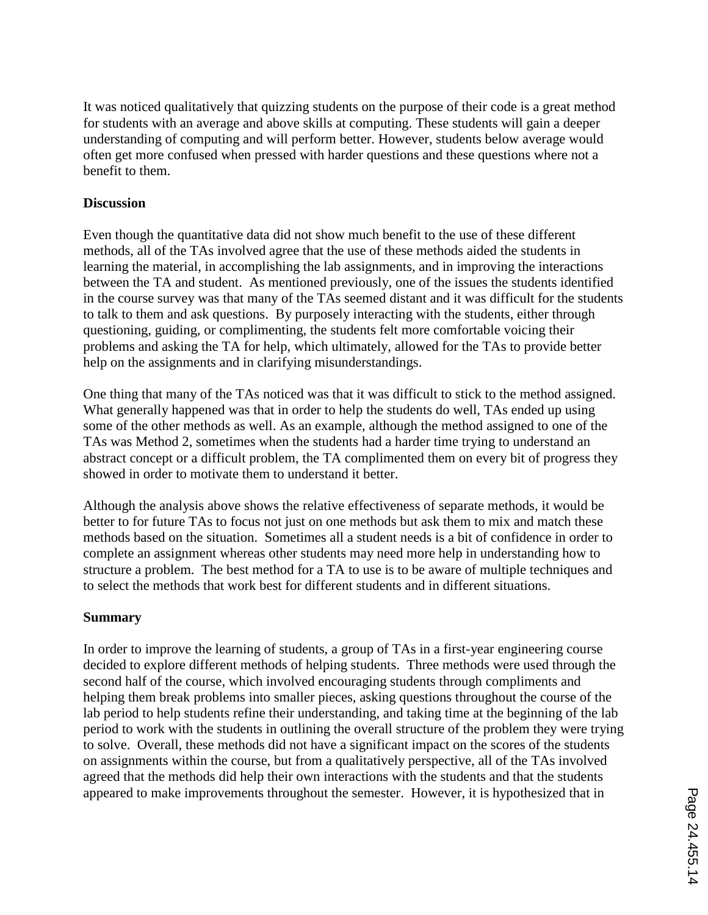It was noticed qualitatively that quizzing students on the purpose of their code is a great method for students with an average and above skills at computing. These students will gain a deeper understanding of computing and will perform better. However, students below average would often get more confused when pressed with harder questions and these questions where not a benefit to them.

### **Discussion**

Even though the quantitative data did not show much benefit to the use of these different methods, all of the TAs involved agree that the use of these methods aided the students in learning the material, in accomplishing the lab assignments, and in improving the interactions between the TA and student. As mentioned previously, one of the issues the students identified in the course survey was that many of the TAs seemed distant and it was difficult for the students to talk to them and ask questions. By purposely interacting with the students, either through questioning, guiding, or complimenting, the students felt more comfortable voicing their problems and asking the TA for help, which ultimately, allowed for the TAs to provide better help on the assignments and in clarifying misunderstandings.

One thing that many of the TAs noticed was that it was difficult to stick to the method assigned. What generally happened was that in order to help the students do well, TAs ended up using some of the other methods as well. As an example, although the method assigned to one of the TAs was Method 2, sometimes when the students had a harder time trying to understand an abstract concept or a difficult problem, the TA complimented them on every bit of progress they showed in order to motivate them to understand it better.

Although the analysis above shows the relative effectiveness of separate methods, it would be better to for future TAs to focus not just on one methods but ask them to mix and match these methods based on the situation. Sometimes all a student needs is a bit of confidence in order to complete an assignment whereas other students may need more help in understanding how to structure a problem. The best method for a TA to use is to be aware of multiple techniques and to select the methods that work best for different students and in different situations.

# **Summary**

In order to improve the learning of students, a group of TAs in a first-year engineering course decided to explore different methods of helping students. Three methods were used through the second half of the course, which involved encouraging students through compliments and helping them break problems into smaller pieces, asking questions throughout the course of the lab period to help students refine their understanding, and taking time at the beginning of the lab period to work with the students in outlining the overall structure of the problem they were trying to solve. Overall, these methods did not have a significant impact on the scores of the students on assignments within the course, but from a qualitatively perspective, all of the TAs involved agreed that the methods did help their own interactions with the students and that the students appeared to make improvements throughout the semester. However, it is hypothesized that in